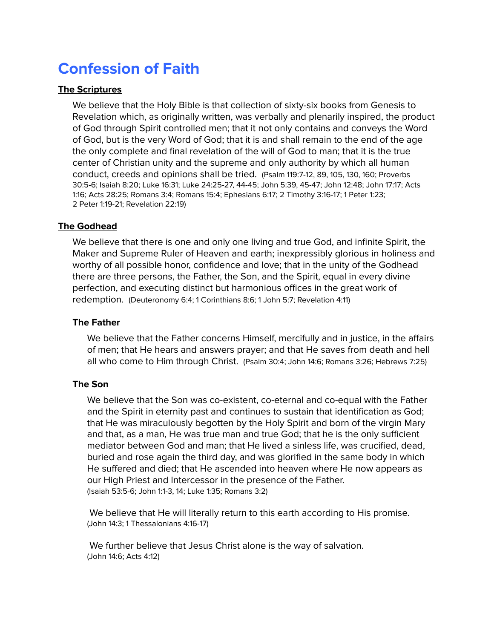# Confession of Faith

## The Scriptures

We believe that the Holy Bible is that collection of sixty-six books from Genesis to Revelation which, as originally written, was verbally and plenarily inspired, the product of God through Spirit controlled men; that it not only contains and conveys the Word of God, but is the very Word of God; that it is and shall remain to the end of the age the only complete and final revelation of the will of God to man; that it is the true center of Christian unity and the supreme and only authority by which all human conduct, creeds and opinions shall be tried. (Psalm 119:7-12, 89, 105, 130, 160; Proverbs 30:5-6; Isaiah 8:20; Luke 16:31; Luke 24:25-27, 44-45; John 5:39, 45-47; John 12:48; John 17:17; Acts 1:16; Acts 28:25; Romans 3:4; Romans 15:4; Ephesians 6:17; 2 Timothy 3:16-17; 1 Peter 1:23; 2 Peter 1:19-21; Revelation 22:19)

# The Godhead

We believe that there is one and only one living and true God, and infinite Spirit, the Maker and Supreme Ruler of Heaven and earth; inexpressibly glorious in holiness and worthy of all possible honor, confidence and love; that in the unity of the Godhead there are three persons, the Father, the Son, and the Spirit, equal in every divine perfection, and executing distinct but harmonious offices in the great work of redemption. (Deuteronomy 6:4; 1 Corinthians 8:6; 1 John 5:7; Revelation 4:11)

## The Father

We believe that the Father concerns Himself, mercifully and in justice, in the affairs of men; that He hears and answers prayer; and that He saves from death and hell all who come to Him through Christ. (Psalm 30:4; John 14:6; Romans 3:26; Hebrews 7:25)

# The Son

We believe that the Son was co-existent, co-eternal and co-equal with the Father and the Spirit in eternity past and continues to sustain that identification as God; that He was miraculously begotten by the Holy Spirit and born of the virgin Mary and that, as a man, He was true man and true God; that he is the only sufficient mediator between God and man; that He lived a sinless life, was crucified, dead, buried and rose again the third day, and was glorified in the same body in which He suffered and died; that He ascended into heaven where He now appears as our High Priest and Intercessor in the presence of the Father. (Isaiah 53:5-6; John 1:1-3, 14; Luke 1:35; Romans 3:2)

We believe that He will literally return to this earth according to His promise. (John 14:3; 1 Thessalonians 4:16-17)

We further believe that Jesus Christ alone is the way of salvation. (John 14:6; Acts 4:12)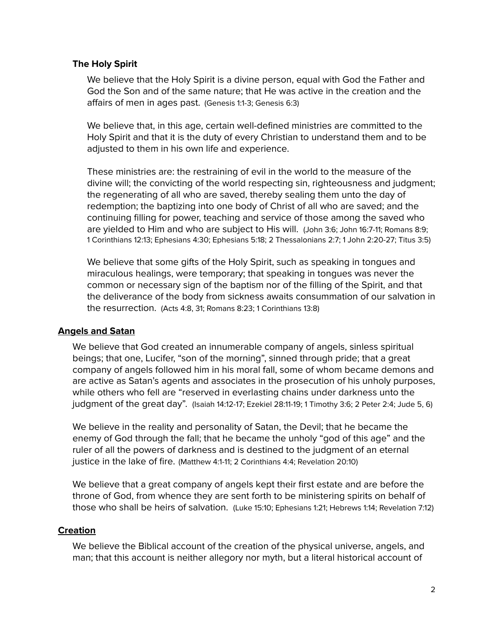## The Holy Spirit

We believe that the Holy Spirit is a divine person, equal with God the Father and God the Son and of the same nature; that He was active in the creation and the affairs of men in ages past. (Genesis 1:1-3; Genesis 6:3)

We believe that, in this age, certain well-defined ministries are committed to the Holy Spirit and that it is the duty of every Christian to understand them and to be adjusted to them in his own life and experience.

These ministries are: the restraining of evil in the world to the measure of the divine will; the convicting of the world respecting sin, righteousness and judgment; the regenerating of all who are saved, thereby sealing them unto the day of redemption; the baptizing into one body of Christ of all who are saved; and the continuing filling for power, teaching and service of those among the saved who are yielded to Him and who are subject to His will. (John 3:6; John 16:7-11; Romans 8:9; 1 Corinthians 12:13; Ephesians 4:30; Ephesians 5:18; 2 Thessalonians 2:7; 1 John 2:20-27; Titus 3:5)

We believe that some gifts of the Holy Spirit, such as speaking in tongues and miraculous healings, were temporary; that speaking in tongues was never the common or necessary sign of the baptism nor of the filling of the Spirit, and that the deliverance of the body from sickness awaits consummation of our salvation in the resurrection. (Acts 4:8, 31; Romans 8:23; 1 Corinthians 13:8)

# Angels and Satan

We believe that God created an innumerable company of angels, sinless spiritual beings; that one, Lucifer, "son of the morning", sinned through pride; that a great company of angels followed him in his moral fall, some of whom became demons and are active as Satan's agents and associates in the prosecution of his unholy purposes, while others who fell are "reserved in everlasting chains under darkness unto the judgment of the great day". (Isaiah 14:12-17; Ezekiel 28:11-19; 1 Timothy 3:6; 2 Peter 2:4; Jude 5, 6)

We believe in the reality and personality of Satan, the Devil; that he became the enemy of God through the fall; that he became the unholy "god of this age" and the ruler of all the powers of darkness and is destined to the judgment of an eternal justice in the lake of fire. (Matthew 4:1-11; 2 Corinthians 4:4; Revelation 20:10)

We believe that a great company of angels kept their first estate and are before the throne of God, from whence they are sent forth to be ministering spirits on behalf of those who shall be heirs of salvation. (Luke 15:10; Ephesians 1:21; Hebrews 1:14; Revelation 7:12)

# **Creation**

We believe the Biblical account of the creation of the physical universe, angels, and man; that this account is neither allegory nor myth, but a literal historical account of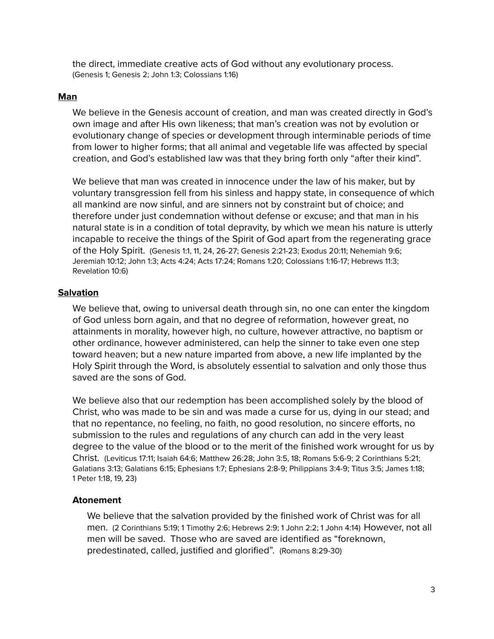the direct, immediate creative acts of God without any evolutionary process. (Genesis 1; Genesis 2; John 1:3; Colossians 1:16)

#### Man

We believe in the Genesis account of creation, and man was created directly in God's own image and after His own likeness; that man's creation was not by evolution or evolutionary change of species or development through interminable periods of time from lower to higher forms; that all animal and vegetable life was affected by special creation, and God's established law was that they bring forth only "after their kind".

We believe that man was created in innocence under the law of his maker, but by voluntary transgression fell from his sinless and happy state, in consequence of which all mankind are now sinful, and are sinners not by constraint but of choice; and therefore under just condemnation without defense or excuse; and that man in his natural state is in a condition of total depravity, by which we mean his nature is utterly incapable to receive the things of the Spirit of God apart from the regenerating grace of the Holy Spirit. (Genesis 1:1, 11, 24, 26-27; Genesis 2:21-23; Exodus 20:11; Nehemiah 9:6; Jeremiah 10:12; John 1:3; Acts 4:24; Acts 17:24; Romans 1:20; Colossians 1:16-17; Hebrews 11:3; Revelation 10:6)

#### **Salvation**

We believe that, owing to universal death through sin, no one can enter the kingdom of God unless born again, and that no degree of reformation, however great, no attainments in morality, however high, no culture, however attractive, no baptism or other ordinance, however administered, can help the sinner to take even one step toward heaven; but a new nature imparted from above, a new life implanted by the Holy Spirit through the Word, is absolutely essential to salvation and only those thus saved are the sons of God.

We believe also that our redemption has been accomplished solely by the blood of Christ, who was made to be sin and was made a curse for us, dying in our stead; and that no repentance, no feeling, no faith, no good resolution, no sincere efforts, no submission to the rules and regulations of any church can add in the very least degree to the value of the blood or to the merit of the finished work wrought for us by Christ. (Leviticus 17:11; Isaiah 64:6; Matthew 26:28; John 3:5, 18; Romans 5:6-9; 2 Corinthians 5:21; Galatians 3:13; Galatians 6:15; Ephesians 1:7; Ephesians 2:8-9; Philippians 3:4-9; Titus 3:5; James 1:18; 1 Peter 1:18, 19, 23)

#### Atonement

We believe that the salvation provided by the finished work of Christ was for all men. (2 Corinthians 5:19; 1 Timothy 2:6; Hebrews 2:9; 1 John 2:2; 1 John 4:14) However, not all men will be saved. Those who are saved are identified as "foreknown, predestinated, called, justified and glorified". (Romans 8:29-30)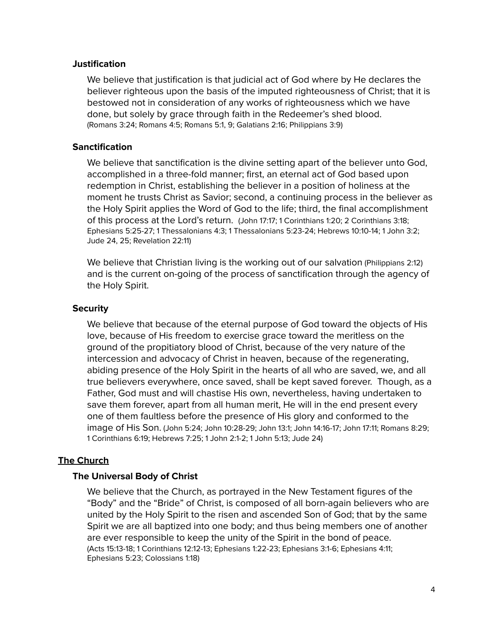#### **Justification**

We believe that justification is that judicial act of God where by He declares the believer righteous upon the basis of the imputed righteousness of Christ; that it is bestowed not in consideration of any works of righteousness which we have done, but solely by grace through faith in the Redeemer's shed blood. (Romans 3:24; Romans 4:5; Romans 5:1, 9; Galatians 2:16; Philippians 3:9)

## **Sanctification**

We believe that sanctification is the divine setting apart of the believer unto God, accomplished in a three-fold manner; first, an eternal act of God based upon redemption in Christ, establishing the believer in a position of holiness at the moment he trusts Christ as Savior; second, a continuing process in the believer as the Holy Spirit applies the Word of God to the life; third, the final accomplishment of this process at the Lord's return. (John 17:17; 1 Corinthians 1:20; 2 Corinthians 3:18; Ephesians 5:25-27; 1 Thessalonians 4:3; 1 Thessalonians 5:23-24; Hebrews 10:10-14; 1 John 3:2; Jude 24, 25; Revelation 22:11)

We believe that Christian living is the working out of our salvation (Philippians 2:12) and is the current on-going of the process of sanctification through the agency of the Holy Spirit.

#### **Security**

We believe that because of the eternal purpose of God toward the objects of His love, because of His freedom to exercise grace toward the meritless on the ground of the propitiatory blood of Christ, because of the very nature of the intercession and advocacy of Christ in heaven, because of the regenerating, abiding presence of the Holy Spirit in the hearts of all who are saved, we, and all true believers everywhere, once saved, shall be kept saved forever. Though, as a Father, God must and will chastise His own, nevertheless, having undertaken to save them forever, apart from all human merit, He will in the end present every one of them faultless before the presence of His glory and conformed to the image of His Son. (John 5:24; John 10:28-29; John 13:1; John 14:16-17; John 17:11; Romans 8:29; 1 Corinthians 6:19; Hebrews 7:25; 1 John 2:1-2; 1 John 5:13; Jude 24)

## The Church

#### The Universal Body of Christ

We believe that the Church, as portrayed in the New Testament figures of the "Body" and the "Bride" of Christ, is composed of all born-again believers who are united by the Holy Spirit to the risen and ascended Son of God; that by the same Spirit we are all baptized into one body; and thus being members one of another are ever responsible to keep the unity of the Spirit in the bond of peace. (Acts 15:13-18; 1 Corinthians 12:12-13; Ephesians 1:22-23; Ephesians 3:1-6; Ephesians 4:11; Ephesians 5:23; Colossians 1:18)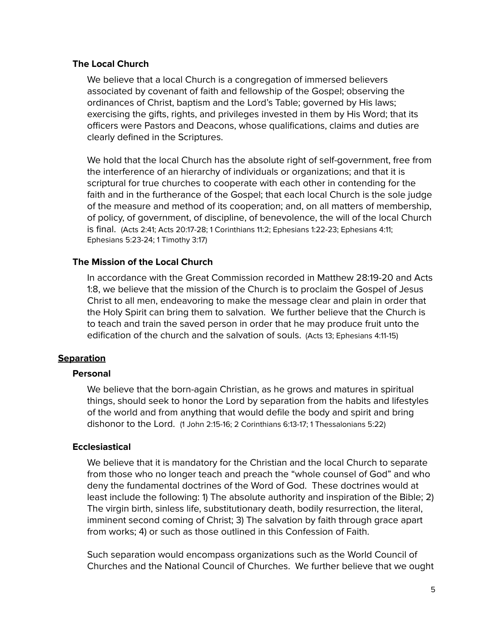## The Local Church

We believe that a local Church is a congregation of immersed believers associated by covenant of faith and fellowship of the Gospel; observing the ordinances of Christ, baptism and the Lord's Table; governed by His laws; exercising the gifts, rights, and privileges invested in them by His Word; that its officers were Pastors and Deacons, whose qualifications, claims and duties are clearly defined in the Scriptures.

We hold that the local Church has the absolute right of self-government, free from the interference of an hierarchy of individuals or organizations; and that it is scriptural for true churches to cooperate with each other in contending for the faith and in the furtherance of the Gospel; that each local Church is the sole judge of the measure and method of its cooperation; and, on all matters of membership, of policy, of government, of discipline, of benevolence, the will of the local Church is final. (Acts 2:41; Acts 20:17-28; 1 Corinthians 11:2; Ephesians 1:22-23; Ephesians 4:11; Ephesians 5:23-24; 1 Timothy 3:17)

## The Mission of the Local Church

In accordance with the Great Commission recorded in Matthew 28:19-20 and Acts 1:8, we believe that the mission of the Church is to proclaim the Gospel of Jesus Christ to all men, endeavoring to make the message clear and plain in order that the Holy Spirit can bring them to salvation. We further believe that the Church is to teach and train the saved person in order that he may produce fruit unto the edification of the church and the salvation of souls. (Acts 13; Ephesians 4:11-15)

## **Separation**

#### **Personal**

We believe that the born-again Christian, as he grows and matures in spiritual things, should seek to honor the Lord by separation from the habits and lifestyles of the world and from anything that would defile the body and spirit and bring dishonor to the Lord. (1 John 2:15-16; 2 Corinthians 6:13-17; 1 Thessalonians 5:22)

#### **Ecclesiastical**

We believe that it is mandatory for the Christian and the local Church to separate from those who no longer teach and preach the "whole counsel of God" and who deny the fundamental doctrines of the Word of God. These doctrines would at least include the following: 1) The absolute authority and inspiration of the Bible; 2) The virgin birth, sinless life, substitutionary death, bodily resurrection, the literal, imminent second coming of Christ; 3) The salvation by faith through grace apart from works; 4) or such as those outlined in this Confession of Faith.

Such separation would encompass organizations such as the World Council of Churches and the National Council of Churches. We further believe that we ought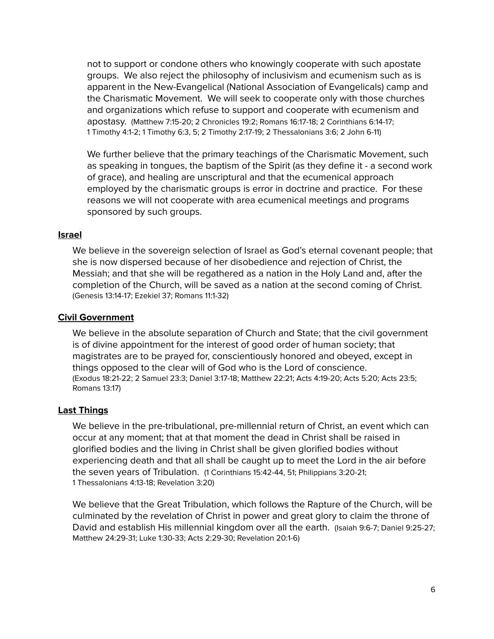not to support or condone others who knowingly cooperate with such apostate groups. We also reject the philosophy of inclusivism and ecumenism such as is apparent in the New-Evangelical (National Association of Evangelicals) camp and the Charismatic Movement. We will seek to cooperate only with those churches and organizations which refuse to support and cooperate with ecumenism and apostasy. (Matthew 7:15-20; 2 Chronicles 19:2; Romans 16:17-18; 2 Corinthians 6:14-17; 1 Timothy 4:1-2; 1 Timothy 6:3, 5; 2 Timothy 2:17-19; 2 Thessalonians 3:6; 2 John 6-11)

We further believe that the primary teachings of the Charismatic Movement, such as speaking in tongues, the baptism of the Spirit (as they define it - a second work of grace), and healing are unscriptural and that the ecumenical approach employed by the charismatic groups is error in doctrine and practice. For these reasons we will not cooperate with area ecumenical meetings and programs sponsored by such groups.

#### Israel

We believe in the sovereign selection of Israel as God's eternal covenant people; that she is now dispersed because of her disobedience and rejection of Christ, the Messiah; and that she will be regathered as a nation in the Holy Land and, after the completion of the Church, will be saved as a nation at the second coming of Christ. (Genesis 13:14-17; Ezekiel 37; Romans 11:1-32)

#### Civil Government

We believe in the absolute separation of Church and State; that the civil government is of divine appointment for the interest of good order of human society; that magistrates are to be prayed for, conscientiously honored and obeyed, except in things opposed to the clear will of God who is the Lord of conscience. (Exodus 18:21-22; 2 Samuel 23:3; Daniel 3:17-18; Matthew 22:21; Acts 4:19-20; Acts 5:20; Acts 23:5; Romans 13:17)

#### Last Things

We believe in the pre-tribulational, pre-millennial return of Christ, an event which can occur at any moment; that at that moment the dead in Christ shall be raised in glorified bodies and the living in Christ shall be given glorified bodies without experiencing death and that all shall be caught up to meet the Lord in the air before the seven years of Tribulation. (1 Corinthians 15:42-44, 51; Philippians 3:20-21; 1 Thessalonians 4:13-18; Revelation 3:20)

We believe that the Great Tribulation, which follows the Rapture of the Church, will be culminated by the revelation of Christ in power and great glory to claim the throne of David and establish His millennial kingdom over all the earth. (Isaiah 9:6-7; Daniel 9:25-27; Matthew 24:29-31; Luke 1:30-33; Acts 2:29-30; Revelation 20:1-6)